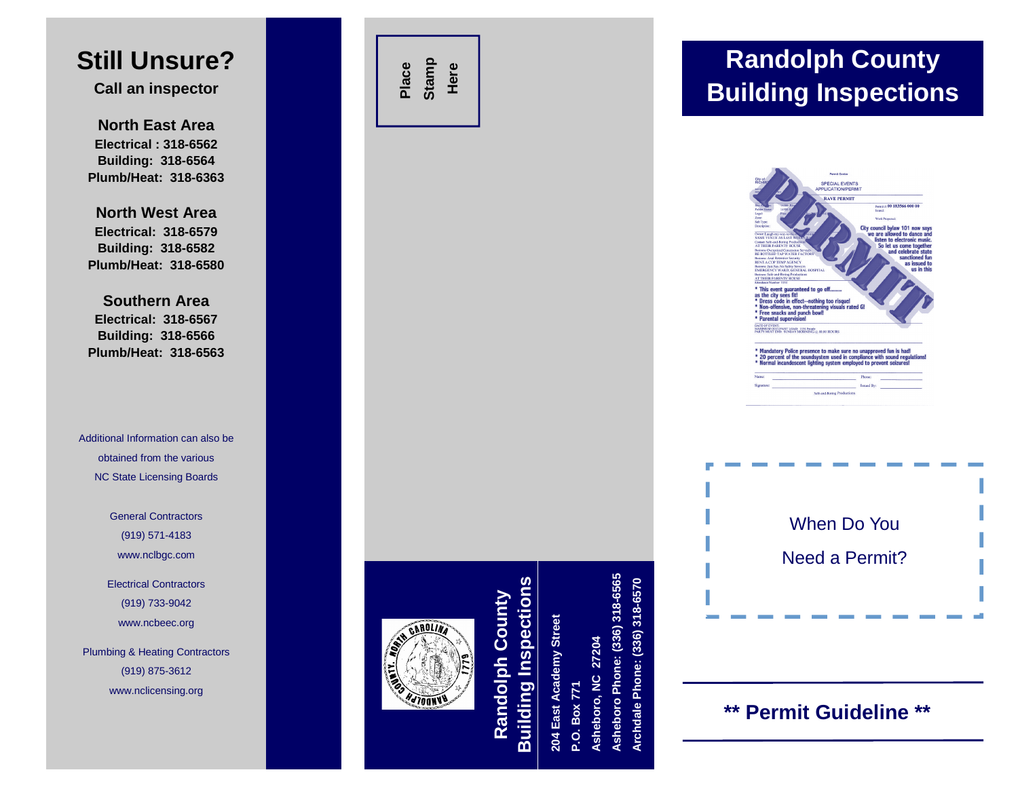# **Still Unsure?**

**C all a n in s p e ctor**

**NorthEast AreaElectrical : 318-6562B uildin g: 318-6 5 6 4 Plumb/Heat: 318-6363**

**NorthWest AreaElectrical: 318-6579B uildin g: 318-6 5 8 2 Plumb/Heat: 318-6580**

**SouthernAreaElectrical: 318-656Building: 318-6 56Plumb/Heat: 318-656**

Additional Information can also be obtained from the various N C State Licensing Boards

> General Contractors(919) 571-4183 www.nclbgc.com

Electrical Contractors(919) 733-9042 w w w.ncbeec.org

Plumbing & Heating Contractors (919) 875-3612 w w w.nclicensing.org



00.183566.000.00